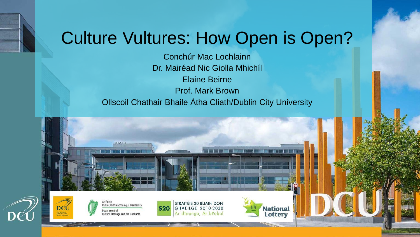#### Culture Vultures: How Open is Open?

Conchúr Mac Lochlainn Dr. Mairéad Nic Giolla Mhichíl Elaine Beirne Prof. Mark Brown Ollscoil Chathair Bhaile Átha Cliath/Dublin City University

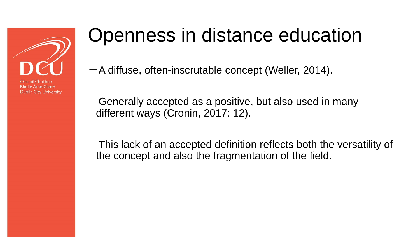

#### Openness in distance education

 $-A$  diffuse, often-inscrutable concept (Weller, 2014).

- $-$ Generally accepted as a positive, but also used in many different ways (Cronin, 2017: 12).
- $-$ This lack of an accepted definition reflects both the versatility of the concept and also the fragmentation of the field.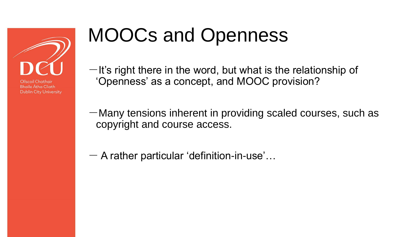

# MOOCs and Openness

 $-$ It's right there in the word, but what is the relationship of 'Openness' as a concept, and MOOC provision?

 $-M$ any tensions inherent in providing scaled courses, such as copyright and course access.

 $-$  A rather particular 'definition-in-use'...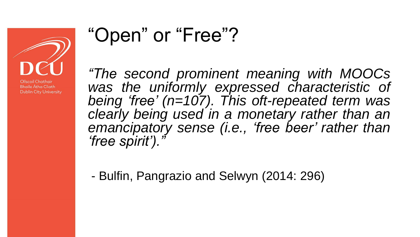

**Dublin City University** 

#### "Open" or "Free"?

*"The second prominent meaning with MOOCs was the uniformly expressed characteristic of being 'free' (n=107). This oft-repeated term was clearly being used in a monetary rather than an emancipatory sense (i.e., 'free beer' rather than 'free spirit')."*

- Bulfin, Pangrazio and Selwyn (2014: 296)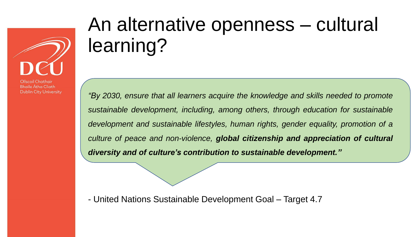

## An alternative openness – cultural learning?

*"By 2030, ensure that all learners acquire the knowledge and skills needed to promote sustainable development, including, among others, through education for sustainable development and sustainable lifestyles, human rights, gender equality, promotion of a culture of peace and non-violence, global citizenship and appreciation of cultural diversity and of culture's contribution to sustainable development."*

- United Nations Sustainable Development Goal – Target 4.7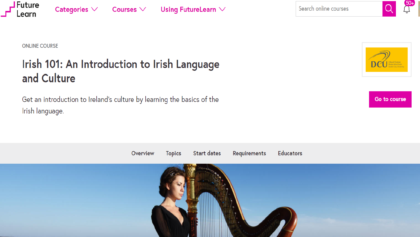

#### **ONLINE COURSE**

Categories  $\vee$ 

**Future** 

earn

#### Irish 101: An Introduction to Irish Language and Culture

Courses  $\vee$ 

Using FutureLearn  $\vee$ 

Get an introduction to Ireland's culture by learning the basics of the Irish language.



Go to course

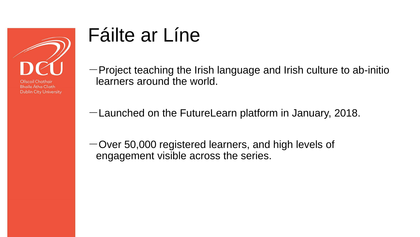

#### Fáilte ar Líne

- $-$  Project teaching the Irish language and Irish culture to ab-initio learners around the world.
- $-$ Launched on the FutureLearn platform in January, 2018.
- -Over 50,000 registered learners, and high levels of engagement visible across the series.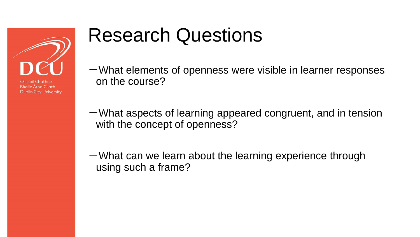

## Research Questions

 $-W$ hat elements of openness were visible in learner responses on the course?

 $-W$ hat aspects of learning appeared congruent, and in tension with the concept of openness?

 $-$ What can we learn about the learning experience through using such a frame?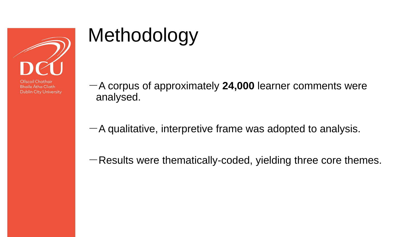

# Methodology

**Bhaile Átha Cliath Dublin City University** 

- -A corpus of approximately **24,000** learner comments were analysed.
- $-A$  qualitative, interpretive frame was adopted to analysis.
- $-$ Results were thematically-coded, yielding three core themes.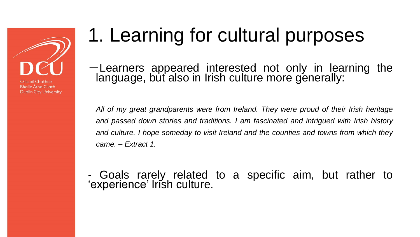Ollscoil Chathair **Bhaile Átha Cliath** 

**Dublin City University** 

## 1. Learning for cultural purposes

-Learners appeared interested not only in learning the language, but also in Irish culture more generally:

*All of my great grandparents were from Ireland. They were proud of their Irish heritage and passed down stories and traditions. I am fascinated and intrigued with Irish history and culture. I hope someday to visit Ireland and the counties and towns from which they came. – Extract 1.*

- Goals rarely related to a specific aim, but rather to 'experience' Irish culture.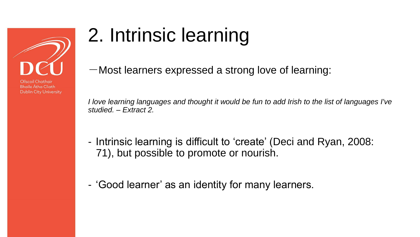

# 2. Intrinsic learning

 $-M$ ost learners expressed a strong love of learning:

*I love learning languages and thought it would be fun to add Irish to the list of languages I've studied. – Extract 2.* 

- Intrinsic learning is difficult to 'create' (Deci and Ryan, 2008: 71), but possible to promote or nourish.
- 'Good learner' as an identity for many learners.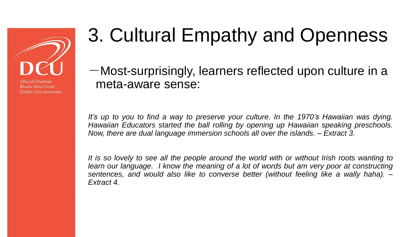

# 3. Cultural Empathy and Openness

-Most-surprisingly, learners reflected upon culture in a meta-aware sense:

*It's up to you to find a way to preserve your culture. In the 1970's Hawaiian was dying. Hawaiian Educators started the ball rolling by opening up Hawaiian speaking preschools. Now, there are dual language immersion schools all over the islands. – Extract 3.*

It is so lovely to see all the people around the world with or without Irish roots wanting to *learn our language. I know the meaning of a lot of words but am very poor at constructing sentences, and would also like to converse better (without feeling like a wally haha). – Extract 4.*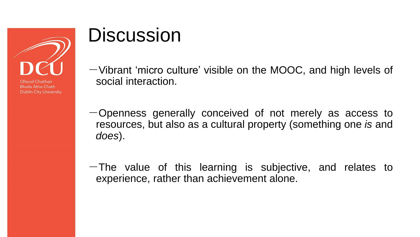

#### **Discussion**

- $-V$ ibrant 'micro culture' visible on the MOOC, and high levels of social interaction.
- $-$ Openness generally conceived of not merely as access to resources, but also as a cultural property (something one *is* and *does*).
- $-$ The value of this learning is subjective, and relates to experience, rather than achievement alone.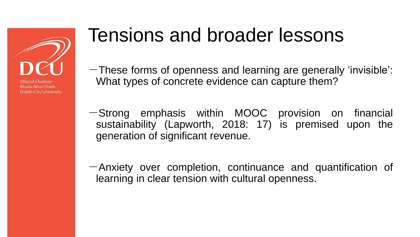

#### Tensions and broader lessons

- $-$ These forms of openness and learning are generally 'invisible': What types of concrete evidence can capture them?
- -Strong emphasis within MOOC provision on financial sustainability (Lapworth, 2018: 17) is premised upon the generation of significant revenue.
- $-A$ nxiety over completion, continuance and quantification of learning in clear tension with cultural openness.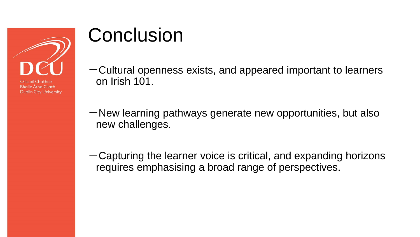

**Dublin City University** 

#### **Conclusion**

- $-Cultural$  openness exists, and appeared important to learners on Irish 101.
- $-\mathsf{New}$  learning pathways generate new opportunities, but also new challenges.
- $-$  Capturing the learner voice is critical, and expanding horizons requires emphasising a broad range of perspectives.